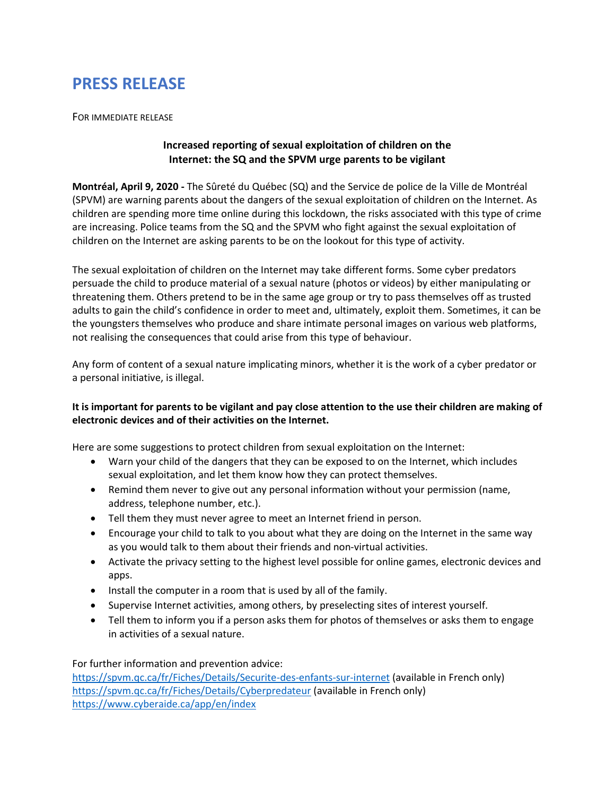## **PRESS RELEASE**

FOR IMMEDIATE RELEASE

## **Increased reporting of sexual exploitation of children on the Internet: the SQ and the SPVM urge parents to be vigilant**

**Montréal, April 9, 2020 -** The Sûreté du Québec (SQ) and the Service de police de la Ville de Montréal (SPVM) are warning parents about the dangers of the sexual exploitation of children on the Internet. As children are spending more time online during this lockdown, the risks associated with this type of crime are increasing. Police teams from the SQ and the SPVM who fight against the sexual exploitation of children on the Internet are asking parents to be on the lookout for this type of activity.

The sexual exploitation of children on the Internet may take different forms. Some cyber predators persuade the child to produce material of a sexual nature (photos or videos) by either manipulating or threatening them. Others pretend to be in the same age group or try to pass themselves off as trusted adults to gain the child's confidence in order to meet and, ultimately, exploit them. Sometimes, it can be the youngsters themselves who produce and share intimate personal images on various web platforms, not realising the consequences that could arise from this type of behaviour.

Any form of content of a sexual nature implicating minors, whether it is the work of a cyber predator or a personal initiative, is illegal.

## **It is important for parents to be vigilant and pay close attention to the use their children are making of electronic devices and of their activities on the Internet.**

Here are some suggestions to protect children from sexual exploitation on the Internet:

- Warn your child of the dangers that they can be exposed to on the Internet, which includes sexual exploitation, and let them know how they can protect themselves.
- Remind them never to give out any personal information without your permission (name, address, telephone number, etc.).
- Tell them they must never agree to meet an Internet friend in person.
- Encourage your child to talk to you about what they are doing on the Internet in the same way as you would talk to them about their friends and non-virtual activities.
- Activate the privacy setting to the highest level possible for online games, electronic devices and apps.
- Install the computer in a room that is used by all of the family.
- Supervise Internet activities, among others, by preselecting sites of interest yourself.
- Tell them to inform you if a person asks them for photos of themselves or asks them to engage in activities of a sexual nature.

For further information and prevention advice:

https://spvm.qc.ca/fr/Fiches/Details/Securite-des-enfants-sur-internet (available in French only) https://spvm.qc.ca/fr/Fiches/Details/Cyberpredateur (available in French only) https://www.cyberaide.ca/app/en/index